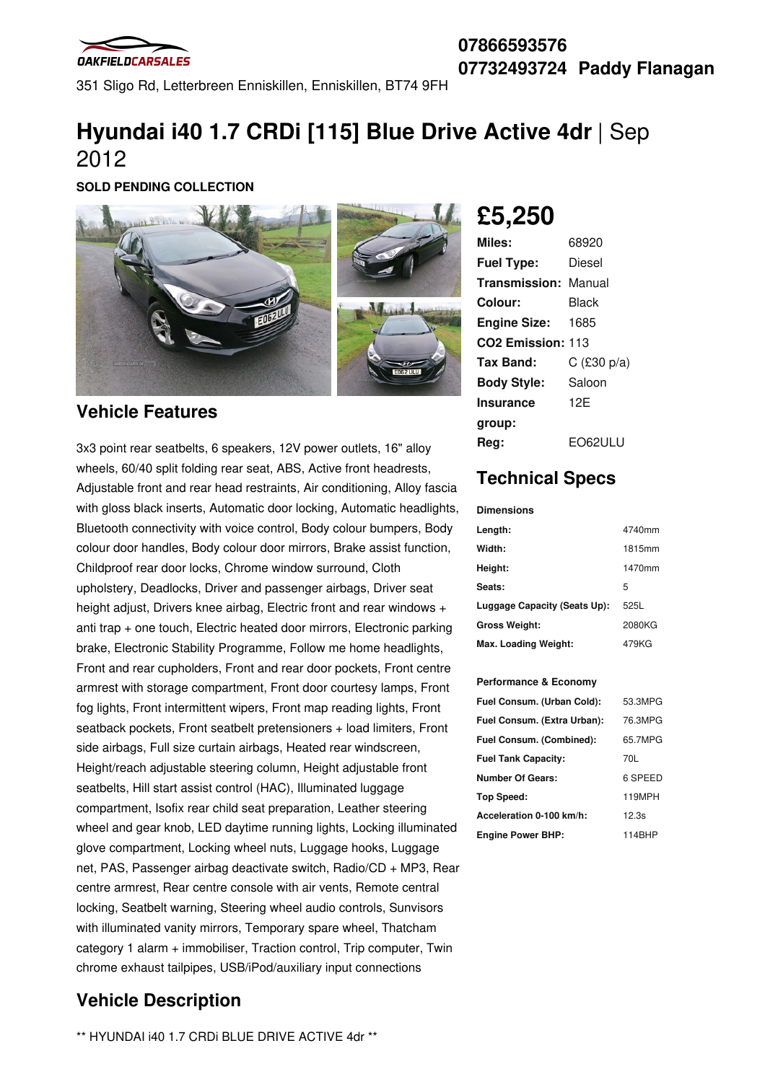

351 Sligo Rd, Letterbreen Enniskillen, Enniskillen, BT74 9FH

# **Hyundai i40 1.7 CRDi [115] Blue Drive Active 4dr** | Sep 2012

**SOLD PENDING COLLECTION**



### **Vehicle Features**

3x3 point rear seatbelts, 6 speakers, 12V power outlets, 16" alloy wheels, 60/40 split folding rear seat, ABS, Active front headrests, Adjustable front and rear head restraints, Air conditioning, Alloy fascia with gloss black inserts, Automatic door locking, Automatic headlights, Bluetooth connectivity with voice control, Body colour bumpers, Body colour door handles, Body colour door mirrors, Brake assist function, Childproof rear door locks, Chrome window surround, Cloth upholstery, Deadlocks, Driver and passenger airbags, Driver seat height adjust, Drivers knee airbag, Electric front and rear windows + anti trap + one touch, Electric heated door mirrors, Electronic parking brake, Electronic Stability Programme, Follow me home headlights, Front and rear cupholders, Front and rear door pockets, Front centre armrest with storage compartment, Front door courtesy lamps, Front fog lights, Front intermittent wipers, Front map reading lights, Front seatback pockets, Front seatbelt pretensioners + load limiters, Front side airbags, Full size curtain airbags, Heated rear windscreen, Height/reach adjustable steering column, Height adjustable front seatbelts, Hill start assist control (HAC), Illuminated luggage compartment, Isofix rear child seat preparation, Leather steering wheel and gear knob, LED daytime running lights, Locking illuminated glove compartment, Locking wheel nuts, Luggage hooks, Luggage net, PAS, Passenger airbag deactivate switch, Radio/CD + MP3, Rear centre armrest, Rear centre console with air vents, Remote central locking, Seatbelt warning, Steering wheel audio controls, Sunvisors with illuminated vanity mirrors, Temporary spare wheel, Thatcham category 1 alarm + immobiliser, Traction control, Trip computer, Twin chrome exhaust tailpipes, USB/iPod/auxiliary input connections

## **Vehicle Description**

\*\* HYUNDAI i40 1.7 CRDi BLUE DRIVE ACTIVE 4dr \*\*

**£5,250**

| Miles:                        | 68920         |
|-------------------------------|---------------|
| <b>Fuel Type:</b>             | Diesel        |
| <b>Transmission: Manual</b>   |               |
| Colour:                       | Black         |
| <b>Engine Size:</b>           | 1685          |
| CO <sub>2</sub> Emission: 113 |               |
| Tax Band:                     | $C$ (£30 p/a) |
| <b>Body Style:</b>            | Saloon        |
| <b>Insurance</b>              | 12F           |
| group:                        |               |
| Rea:                          | EO62ULU       |

## **Technical Specs**

#### **Dimensions**

| Length:                      | 4740mm |
|------------------------------|--------|
| Width:                       | 1815mm |
| Height:                      | 1470mm |
| Seats:                       | 5      |
| Luggage Capacity (Seats Up): | 525L   |
| Gross Weight:                | 2080KG |
| Max. Loading Weight:         | 479KG  |

#### **Performance & Economy**

| Fuel Consum. (Urban Cold):  | 53.3MPG |
|-----------------------------|---------|
| Fuel Consum. (Extra Urban): | 76.3MPG |
| Fuel Consum. (Combined):    | 65.7MPG |
| <b>Fuel Tank Capacity:</b>  | 70L     |
| <b>Number Of Gears:</b>     | 6 SPEED |
| Top Speed:                  | 119MPH  |
| Acceleration 0-100 km/h:    | 12.3s   |
| <b>Engine Power BHP:</b>    | 114BHP  |